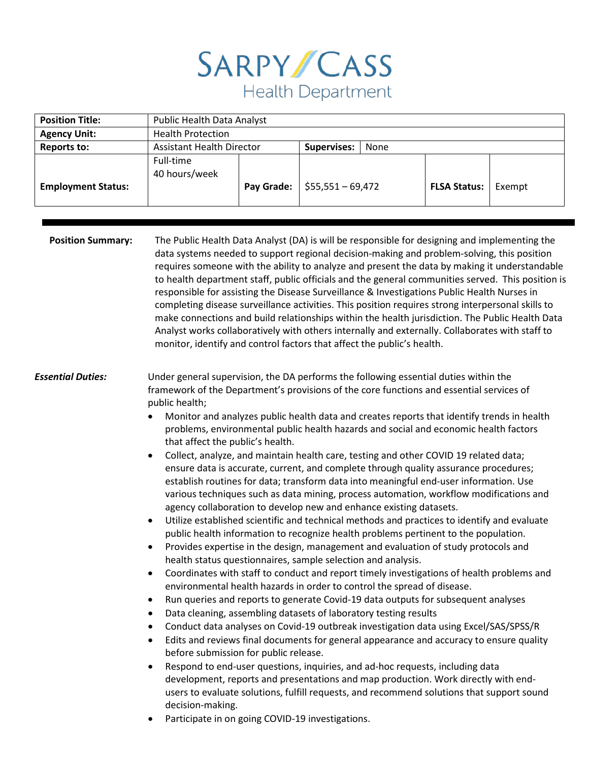| <b>Position Title:</b>    | Public Health Data Analyst                                                                                                                                                                                                                                                                                                                                                                                                                                                                                                                                                                                                                                                                                                                                                                                                                                                                                                                                                                                                                                                                                                                                                                                                                                                                                                                                                                                                                                                                                                                                                                                                                                                                                                                                                                                                                                                                                                                                                                                                                                                                                                                                                                                                                   |            |                            |                     |        |
|---------------------------|----------------------------------------------------------------------------------------------------------------------------------------------------------------------------------------------------------------------------------------------------------------------------------------------------------------------------------------------------------------------------------------------------------------------------------------------------------------------------------------------------------------------------------------------------------------------------------------------------------------------------------------------------------------------------------------------------------------------------------------------------------------------------------------------------------------------------------------------------------------------------------------------------------------------------------------------------------------------------------------------------------------------------------------------------------------------------------------------------------------------------------------------------------------------------------------------------------------------------------------------------------------------------------------------------------------------------------------------------------------------------------------------------------------------------------------------------------------------------------------------------------------------------------------------------------------------------------------------------------------------------------------------------------------------------------------------------------------------------------------------------------------------------------------------------------------------------------------------------------------------------------------------------------------------------------------------------------------------------------------------------------------------------------------------------------------------------------------------------------------------------------------------------------------------------------------------------------------------------------------------|------------|----------------------------|---------------------|--------|
| <b>Agency Unit:</b>       | <b>Health Protection</b>                                                                                                                                                                                                                                                                                                                                                                                                                                                                                                                                                                                                                                                                                                                                                                                                                                                                                                                                                                                                                                                                                                                                                                                                                                                                                                                                                                                                                                                                                                                                                                                                                                                                                                                                                                                                                                                                                                                                                                                                                                                                                                                                                                                                                     |            |                            |                     |        |
| <b>Reports to:</b>        | <b>Assistant Health Director</b>                                                                                                                                                                                                                                                                                                                                                                                                                                                                                                                                                                                                                                                                                                                                                                                                                                                                                                                                                                                                                                                                                                                                                                                                                                                                                                                                                                                                                                                                                                                                                                                                                                                                                                                                                                                                                                                                                                                                                                                                                                                                                                                                                                                                             |            | <b>Supervises:</b><br>None |                     |        |
|                           | Full-time                                                                                                                                                                                                                                                                                                                                                                                                                                                                                                                                                                                                                                                                                                                                                                                                                                                                                                                                                                                                                                                                                                                                                                                                                                                                                                                                                                                                                                                                                                                                                                                                                                                                                                                                                                                                                                                                                                                                                                                                                                                                                                                                                                                                                                    |            |                            |                     |        |
|                           | 40 hours/week                                                                                                                                                                                                                                                                                                                                                                                                                                                                                                                                                                                                                                                                                                                                                                                                                                                                                                                                                                                                                                                                                                                                                                                                                                                                                                                                                                                                                                                                                                                                                                                                                                                                                                                                                                                                                                                                                                                                                                                                                                                                                                                                                                                                                                |            |                            |                     |        |
| <b>Employment Status:</b> |                                                                                                                                                                                                                                                                                                                                                                                                                                                                                                                                                                                                                                                                                                                                                                                                                                                                                                                                                                                                                                                                                                                                                                                                                                                                                                                                                                                                                                                                                                                                                                                                                                                                                                                                                                                                                                                                                                                                                                                                                                                                                                                                                                                                                                              | Pay Grade: | $$55,551 - 69,472$         | <b>FLSA Status:</b> | Exempt |
|                           |                                                                                                                                                                                                                                                                                                                                                                                                                                                                                                                                                                                                                                                                                                                                                                                                                                                                                                                                                                                                                                                                                                                                                                                                                                                                                                                                                                                                                                                                                                                                                                                                                                                                                                                                                                                                                                                                                                                                                                                                                                                                                                                                                                                                                                              |            |                            |                     |        |
|                           |                                                                                                                                                                                                                                                                                                                                                                                                                                                                                                                                                                                                                                                                                                                                                                                                                                                                                                                                                                                                                                                                                                                                                                                                                                                                                                                                                                                                                                                                                                                                                                                                                                                                                                                                                                                                                                                                                                                                                                                                                                                                                                                                                                                                                                              |            |                            |                     |        |
| <b>Position Summary:</b>  | The Public Health Data Analyst (DA) is will be responsible for designing and implementing the<br>data systems needed to support regional decision-making and problem-solving, this position<br>requires someone with the ability to analyze and present the data by making it understandable<br>to health department staff, public officials and the general communities served. This position is<br>responsible for assisting the Disease Surveillance & Investigations Public Health Nurses in<br>completing disease surveillance activities. This position requires strong interpersonal skills to<br>make connections and build relationships within the health jurisdiction. The Public Health Data<br>Analyst works collaboratively with others internally and externally. Collaborates with staff to<br>monitor, identify and control factors that affect the public's health.                                                                                                                                                                                                                                                                                                                                                                                                                                                                                                                                                                                                                                                                                                                                                                                                                                                                                                                                                                                                                                                                                                                                                                                                                                                                                                                                                        |            |                            |                     |        |
| <b>Essential Duties:</b>  | Under general supervision, the DA performs the following essential duties within the<br>framework of the Department's provisions of the core functions and essential services of<br>public health;<br>Monitor and analyzes public health data and creates reports that identify trends in health<br>$\bullet$<br>problems, environmental public health hazards and social and economic health factors<br>that affect the public's health.<br>Collect, analyze, and maintain health care, testing and other COVID 19 related data;<br>$\bullet$<br>ensure data is accurate, current, and complete through quality assurance procedures;<br>establish routines for data; transform data into meaningful end-user information. Use<br>various techniques such as data mining, process automation, workflow modifications and<br>agency collaboration to develop new and enhance existing datasets.<br>Utilize established scientific and technical methods and practices to identify and evaluate<br>$\bullet$<br>public health information to recognize health problems pertinent to the population.<br>Provides expertise in the design, management and evaluation of study protocols and<br>health status questionnaires, sample selection and analysis.<br>Coordinates with staff to conduct and report timely investigations of health problems and<br>$\bullet$<br>environmental health hazards in order to control the spread of disease.<br>Run queries and reports to generate Covid-19 data outputs for subsequent analyses<br>$\bullet$<br>Data cleaning, assembling datasets of laboratory testing results<br>$\bullet$<br>Conduct data analyses on Covid-19 outbreak investigation data using Excel/SAS/SPSS/R<br>٠<br>Edits and reviews final documents for general appearance and accuracy to ensure quality<br>$\bullet$<br>before submission for public release.<br>Respond to end-user questions, inquiries, and ad-hoc requests, including data<br>$\bullet$<br>development, reports and presentations and map production. Work directly with end-<br>users to evaluate solutions, fulfill requests, and recommend solutions that support sound<br>decision-making.<br>Participate in on going COVID-19 investigations.<br>٠ |            |                            |                     |        |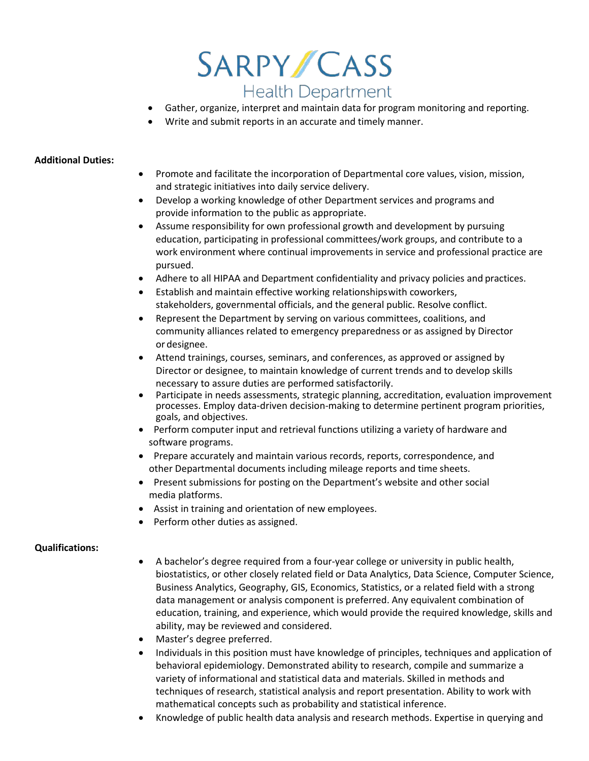

- Gather, organize, interpret and maintain data for program monitoring and reporting.
- Write and submit reports in an accurate and timely manner.

#### **Additional Duties:**

- Promote and facilitate the incorporation of Departmental core values, vision, mission, and strategic initiatives into daily service delivery.
- Develop a working knowledge of other Department services and programs and provide information to the public as appropriate.
- Assume responsibility for own professional growth and development by pursuing education, participating in professional committees/work groups, and contribute to a work environment where continual improvements in service and professional practice are pursued.
- Adhere to all HIPAA and Department confidentiality and privacy policies and practices.
- Establish and maintain effective working relationshipswith coworkers, stakeholders, governmental officials, and the general public. Resolve conflict.
- Represent the Department by serving on various committees, coalitions, and community alliances related to emergency preparedness or as assigned by Director or designee.
- Attend trainings, courses, seminars, and conferences, as approved or assigned by Director or designee, to maintain knowledge of current trends and to develop skills necessary to assure duties are performed satisfactorily.
- Participate in needs assessments, strategic planning, accreditation, evaluation improvement processes. Employ data-driven decision-making to determine pertinent program priorities, goals, and objectives.
- Perform computer input and retrieval functions utilizing a variety of hardware and software programs.
- Prepare accurately and maintain various records, reports, correspondence, and other Departmental documents including mileage reports and time sheets.
- Present submissions for posting on the Department's website and other social media platforms.
- Assist in training and orientation of new employees.
- Perform other duties as assigned.

### **Qualifications:**

- A bachelor's degree required from a four-year college or university in public health, biostatistics, or other closely related field or Data Analytics, Data Science, Computer Science, Business Analytics, Geography, GIS, Economics, Statistics, or a related field with a strong data management or analysis component is preferred. Any equivalent combination of education, training, and experience, which would provide the required knowledge, skills and ability, may be reviewed and considered.
- Master's degree preferred.
- Individuals in this position must have knowledge of principles, techniques and application of behavioral epidemiology. Demonstrated ability to research, compile and summarize a variety of informational and statistical data and materials. Skilled in methods and techniques of research, statistical analysis and report presentation. Ability to work with mathematical concepts such as probability and statistical inference.
- Knowledge of public health data analysis and research methods. Expertise in querying and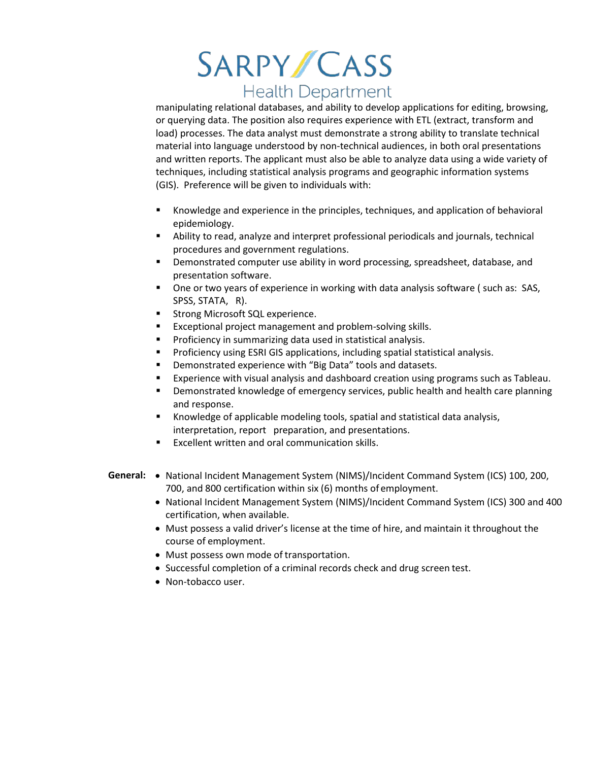manipulating relational databases, and ability to develop applications for editing, browsing, or querying data. The position also requires experience with ETL (extract, transform and load) processes. The data analyst must demonstrate a strong ability to translate technical material into language understood by non-technical audiences, in both oral presentations and written reports. The applicant must also be able to analyze data using a wide variety of techniques, including statistical analysis programs and geographic information systems (GIS). Preference will be given to individuals with:

- Knowledge and experience in the principles, techniques, and application of behavioral epidemiology.
- Ability to read, analyze and interpret professional periodicals and journals, technical procedures and government regulations.
- Demonstrated computer use ability in word processing, spreadsheet, database, and presentation software.
- One or two years of experience in working with data analysis software ( such as: SAS, SPSS, STATA, R).
- **Strong Microsoft SQL experience.**
- **EXCEPT EXCEPT** Project management and problem-solving skills.
- **Proficiency in summarizing data used in statistical analysis.**
- **Proficiency using ESRI GIS applications, including spatial statistical analysis.**
- Demonstrated experience with "Big Data" tools and datasets.
- Experience with visual analysis and dashboard creation using programs such as Tableau.
- **Demonstrated knowledge of emergency services, public health and health care planning** and response.
- Knowledge of applicable modeling tools, spatial and statistical data analysis, interpretation, report preparation, and presentations.
- Excellent written and oral communication skills.
- **General:** National Incident Management System (NIMS)/Incident Command System (ICS) 100, 200, 700, and 800 certification within six (6) months of employment.
	- National Incident Management System (NIMS)/Incident Command System (ICS) 300 and 400 certification, when available.
	- Must possess a valid driver's license at the time of hire, and maintain it throughout the course of employment.
	- Must possess own mode of transportation.
	- Successful completion of a criminal records check and drug screen test.
	- Non-tobacco user.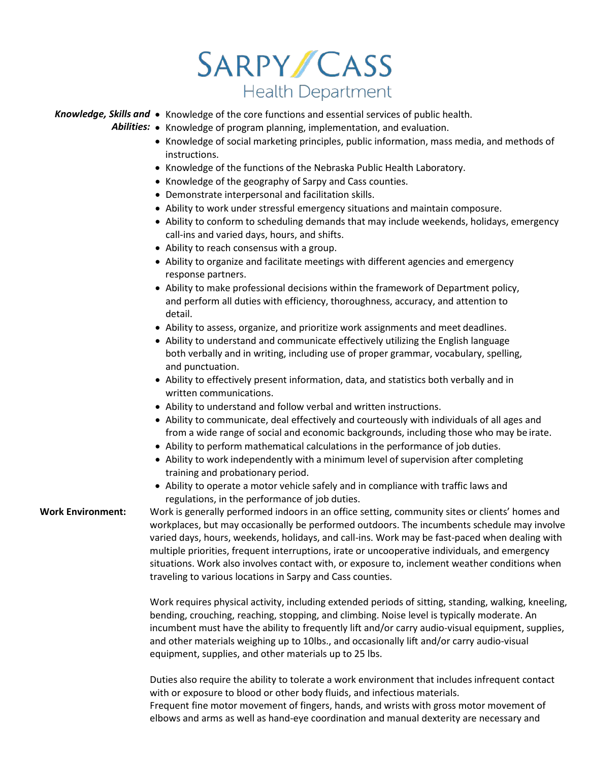Knowledge, Skills and • Knowledge of the core functions and essential services of public health.

*Abilities:* • Knowledge of program planning, implementation, and evaluation.

- Knowledge of social marketing principles, public information, mass media, and methods of instructions.
- Knowledge of the functions of the Nebraska Public Health Laboratory.
- Knowledge of the geography of Sarpy and Cass counties.
- Demonstrate interpersonal and facilitation skills.
- Ability to work under stressful emergency situations and maintain composure.
- Ability to conform to scheduling demands that may include weekends, holidays, emergency call-ins and varied days, hours, and shifts.
- Ability to reach consensus with a group.
- Ability to organize and facilitate meetings with different agencies and emergency response partners.
- Ability to make professional decisions within the framework of Department policy, and perform all duties with efficiency, thoroughness, accuracy, and attention to detail.
- Ability to assess, organize, and prioritize work assignments and meet deadlines.
- Ability to understand and communicate effectively utilizing the English language both verbally and in writing, including use of proper grammar, vocabulary, spelling, and punctuation.
- Ability to effectively present information, data, and statistics both verbally and in written communications.
- Ability to understand and follow verbal and written instructions.
- Ability to communicate, deal effectively and courteously with individuals of all ages and from a wide range of social and economic backgrounds, including those who may be irate.
- Ability to perform mathematical calculations in the performance of job duties.
- Ability to work independently with a minimum level of supervision after completing training and probationary period.
- Ability to operate a motor vehicle safely and in compliance with traffic laws and regulations, in the performance of job duties.

**Work Environment:** Work is generally performed indoors in an office setting, community sites or clients' homes and workplaces, but may occasionally be performed outdoors. The incumbents schedule may involve varied days, hours, weekends, holidays, and call-ins. Work may be fast-paced when dealing with multiple priorities, frequent interruptions, irate or uncooperative individuals, and emergency situations. Work also involves contact with, or exposure to, inclement weather conditions when traveling to various locations in Sarpy and Cass counties.

> Work requires physical activity, including extended periods of sitting, standing, walking, kneeling, bending, crouching, reaching, stopping, and climbing. Noise level is typically moderate. An incumbent must have the ability to frequently lift and/or carry audio-visual equipment, supplies, and other materials weighing up to 10lbs., and occasionally lift and/or carry audio-visual equipment, supplies, and other materials up to 25 lbs.

Duties also require the ability to tolerate a work environment that includes infrequent contact with or exposure to blood or other body fluids, and infectious materials. Frequent fine motor movement of fingers, hands, and wrists with gross motor movement of elbows and arms as well as hand-eye coordination and manual dexterity are necessary and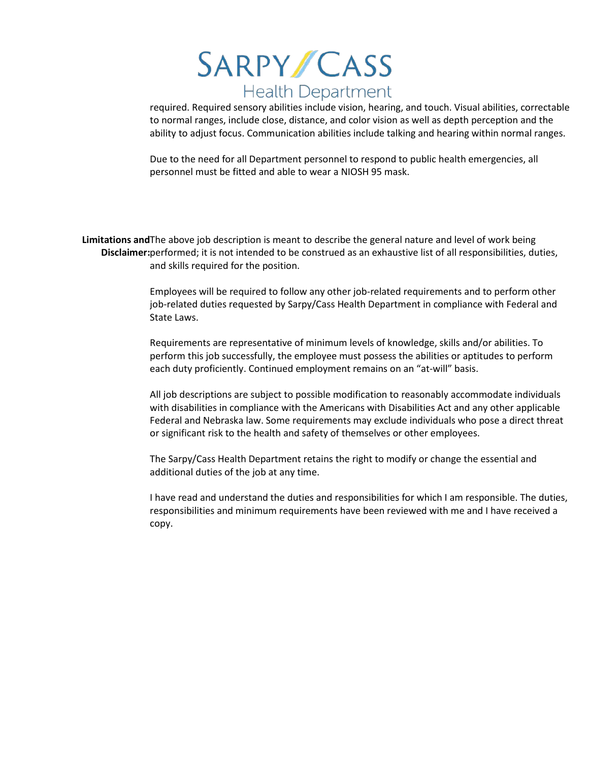required. Required sensory abilities include vision, hearing, and touch. Visual abilities, correctable to normal ranges, include close, distance, and color vision as well as depth perception and the ability to adjust focus. Communication abilities include talking and hearing within normal ranges.

Due to the need for all Department personnel to respond to public health emergencies, all personnel must be fitted and able to wear a NIOSH 95 mask.

Limitations and The above job description is meant to describe the general nature and level of work being **Disclaimer:** performed; it is not intended to be construed as an exhaustive list of all responsibilities, duties, and skills required for the position.

> Employees will be required to follow any other job-related requirements and to perform other job-related duties requested by Sarpy/Cass Health Department in compliance with Federal and State Laws.

> Requirements are representative of minimum levels of knowledge, skills and/or abilities. To perform this job successfully, the employee must possess the abilities or aptitudes to perform each duty proficiently. Continued employment remains on an "at-will" basis.

All job descriptions are subject to possible modification to reasonably accommodate individuals with disabilities in compliance with the Americans with Disabilities Act and any other applicable Federal and Nebraska law. Some requirements may exclude individuals who pose a direct threat or significant risk to the health and safety of themselves or other employees.

The Sarpy/Cass Health Department retains the right to modify or change the essential and additional duties of the job at any time.

I have read and understand the duties and responsibilities for which I am responsible. The duties, responsibilities and minimum requirements have been reviewed with me and I have received a copy.